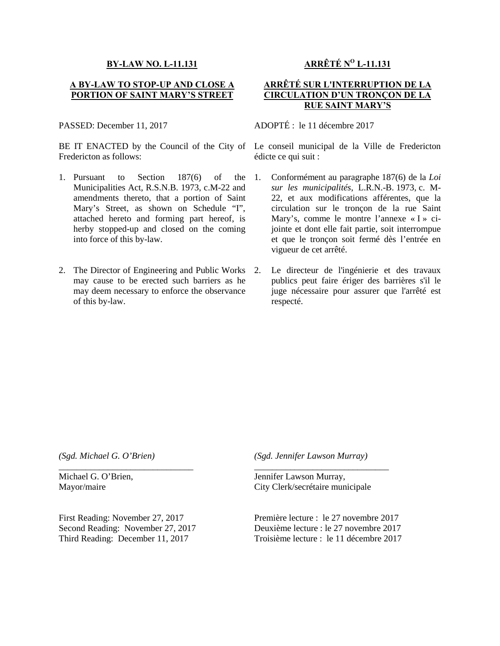## **BY-LAW NO. L-11.131**

## **A BY-LAW TO STOP-UP AND CLOSE A PORTION OF SAINT MARY'S STREET**

PASSED: December 11, 2017

BE IT ENACTED by the Council of the City of Fredericton as follows:

- 1. Pursuant to Section 187(6) of the Municipalities Act, R.S.N.B. 1973, c.M-22 and amendments thereto, that a portion of Saint Mary's Street, as shown on Schedule "I", attached hereto and forming part hereof, is herby stopped-up and closed on the coming into force of this by-law.
- 2. The Director of Engineering and Public Works may cause to be erected such barriers as he may deem necessary to enforce the observance of this by-law.

## **ARRÊTÉ N <sup>O</sup> L-11.131**

## **ARRÊTÉ SUR L'INTERRUPTION DE LA CIRCULATION D'UN TRONÇON DE LA RUE SAINT MARY'S**

ADOPTÉ : le 11 décembre 2017

Le conseil municipal de la Ville de Fredericton édicte ce qui suit :

- 1. Conformément au paragraphe 187(6) de la *Loi sur les municipalités*, L.R.N.-B. 1973, c. M- 22, et aux modifications afférentes, que la circulation sur le tronçon de la rue Saint Mary's, comme le montre l'annexe « I » cijointe et dont elle fait partie, soit interrompue et que le tronçon soit fermé dès l'entrée en vigueur de cet arrêté.
- Le directeur de l'ingénierie et des travaux publics peut faire ériger des barrières s'il le juge nécessaire pour assurer que l'arrêté est respecté.

*(Sgd. Michael G. O'Brien)*

Michael G. O'Brien, Mayor/maire

First Reading: November 27, 2017 Second Reading: November 27, 2017 Third Reading: December 11, 2017

\_\_\_\_\_\_\_\_\_\_\_\_\_\_\_\_\_\_\_\_\_\_\_\_\_\_\_\_\_\_

*(Sgd. Jennifer Lawson Murray)*

Jennifer Lawson Murray, City Clerk/secrétaire municipale

Première lecture : le 27 novembre 2017 Deuxième lecture : le 27 novembre 2017 Troisième lecture : le 11 décembre 2017

\_\_\_\_\_\_\_\_\_\_\_\_\_\_\_\_\_\_\_\_\_\_\_\_\_\_\_\_\_\_